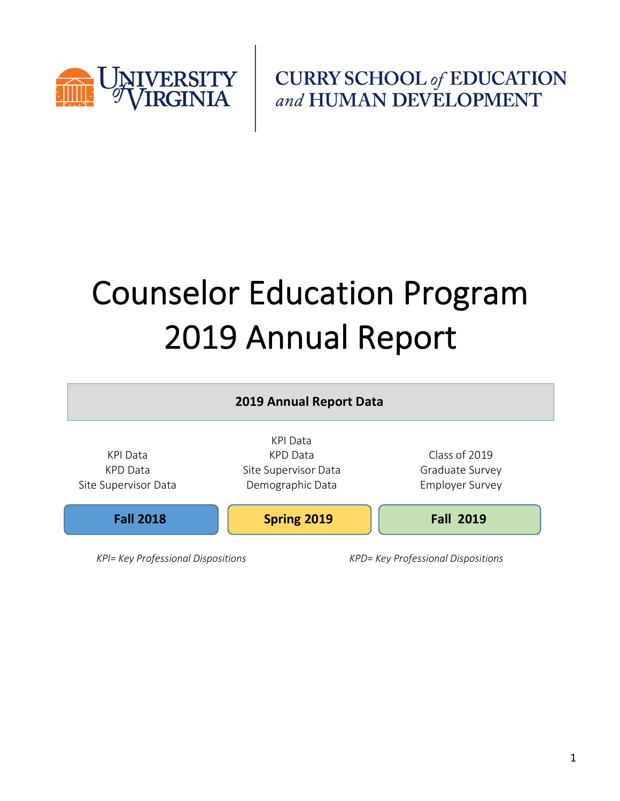

**CURRY SCHOOL of EDUCATION** and HUMAN DEVELOPMENT

# Counselor Education Program 2019 Annual Report

# **2019 Annual Report Data**



*KPI= Key Professional Dispositions KPD= Key Professional Dispositions*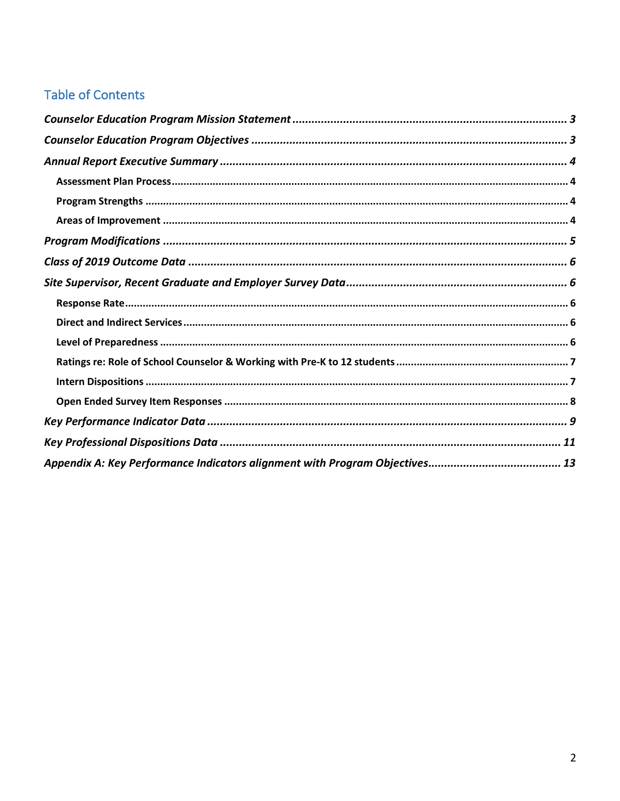# **Table of Contents**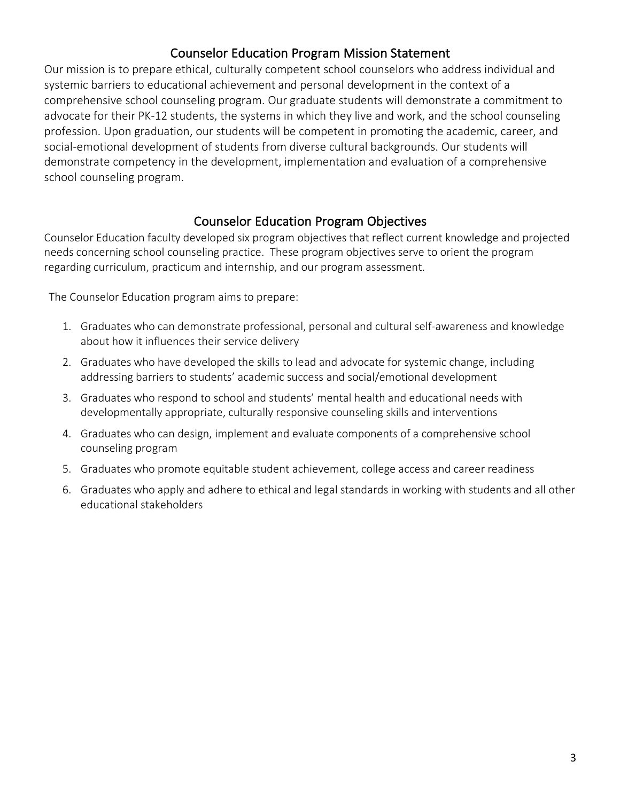# Counselor Education Program Mission Statement

Our mission is to prepare ethical, culturally competent school counselors who address individual and systemic barriers to educational achievement and personal development in the context of a comprehensive school counseling program. Our graduate students will demonstrate a commitment to advocate for their PK-12 students, the systems in which they live and work, and the school counseling profession. Upon graduation, our students will be competent in promoting the academic, career, and social-emotional development of students from diverse cultural backgrounds. Our students will demonstrate competency in the development, implementation and evaluation of a comprehensive school counseling program.

# Counselor Education Program Objectives

Counselor Education faculty developed six program objectives that reflect current knowledge and projected needs concerning school counseling practice. These program objectives serve to orient the program regarding curriculum, practicum and internship, and our program assessment.

The Counselor Education program aims to prepare:

- 1. Graduates who can demonstrate professional, personal and cultural self-awareness and knowledge about how it influences their service delivery
- 2. Graduates who have developed the skills to lead and advocate for systemic change, including addressing barriers to students' academic success and social/emotional development
- 3. Graduates who respond to school and students' mental health and educational needs with developmentally appropriate, culturally responsive counseling skills and interventions
- 4. Graduates who can design, implement and evaluate components of a comprehensive school counseling program
- 5. Graduates who promote equitable student achievement, college access and career readiness
- 6. Graduates who apply and adhere to ethical and legal standards in working with students and all other educational stakeholders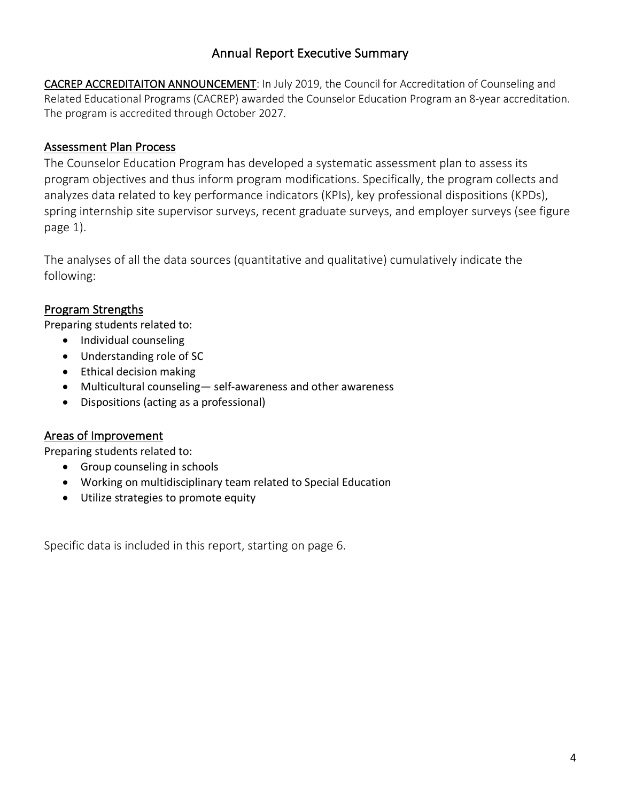# Annual Report Executive Summary

CACREP ACCREDITAITON ANNOUNCEMENT: In July 2019, the Council for Accreditation of Counseling and Related Educational Programs (CACREP) awarded the Counselor Education Program an 8-year accreditation. The program is accredited through October 2027.

#### Assessment Plan Process

The Counselor Education Program has developed a systematic assessment plan to assess its program objectives and thus inform program modifications. Specifically, the program collects and analyzes data related to key performance indicators (KPIs), key professional dispositions (KPDs), spring internship site supervisor surveys, recent graduate surveys, and employer surveys (see figure page 1).

The analyses of all the data sources (quantitative and qualitative) cumulatively indicate the following:

# Program Strengths

Preparing students related to:

- Individual counseling
- Understanding role of SC
- Ethical decision making
- Multicultural counseling— self-awareness and other awareness
- Dispositions (acting as a professional)

# Areas of Improvement

Preparing students related to:

- Group counseling in schools
- Working on multidisciplinary team related to Special Education
- Utilize strategies to promote equity

Specific data is included in this report, starting on page 6.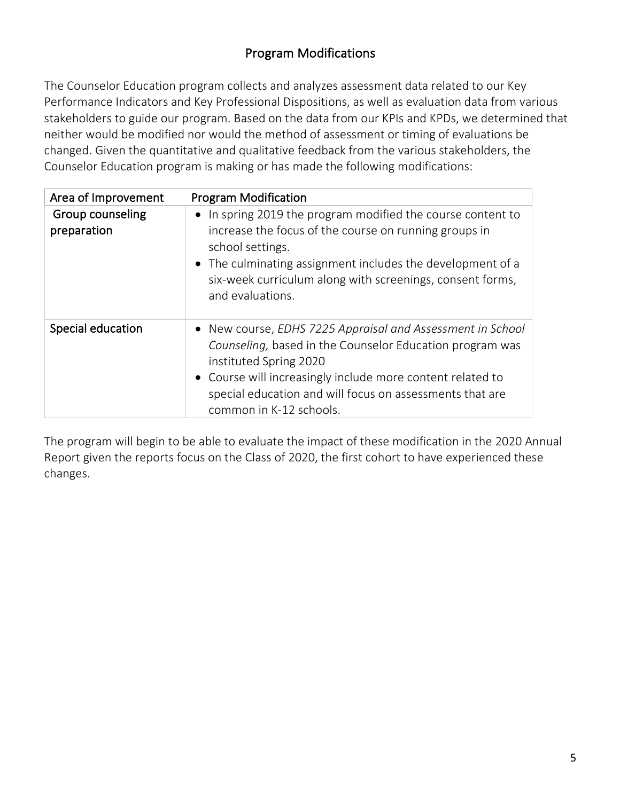# Program Modifications

The Counselor Education program collects and analyzes assessment data related to our Key Performance Indicators and Key Professional Dispositions, as well as evaluation data from various stakeholders to guide our program. Based on the data from our KPIs and KPDs, we determined that neither would be modified nor would the method of assessment or timing of evaluations be changed. Given the quantitative and qualitative feedback from the various stakeholders, the Counselor Education program is making or has made the following modifications:

| Area of Improvement             | <b>Program Modification</b>                                                                                                                                                                                                                                                                           |
|---------------------------------|-------------------------------------------------------------------------------------------------------------------------------------------------------------------------------------------------------------------------------------------------------------------------------------------------------|
| Group counseling<br>preparation | • In spring 2019 the program modified the course content to<br>increase the focus of the course on running groups in<br>school settings.<br>• The culminating assignment includes the development of a<br>six-week curriculum along with screenings, consent forms,<br>and evaluations.               |
| Special education               | • New course, EDHS 7225 Appraisal and Assessment in School<br>Counseling, based in the Counselor Education program was<br>instituted Spring 2020<br>• Course will increasingly include more content related to<br>special education and will focus on assessments that are<br>common in K-12 schools. |

The program will begin to be able to evaluate the impact of these modification in the 2020 Annual Report given the reports focus on the Class of 2020, the first cohort to have experienced these changes.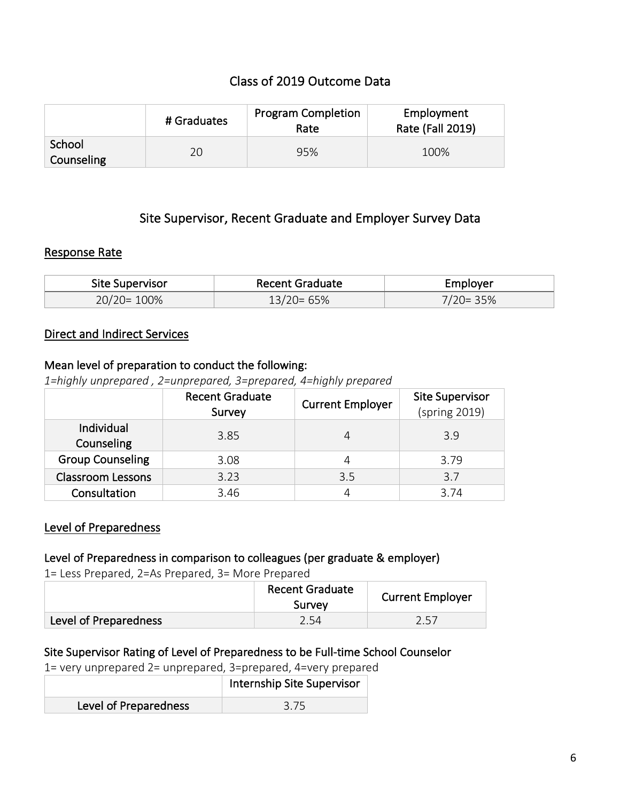# Class of 2019 Outcome Data

|                      | # Graduates | <b>Program Completion</b><br>Rate | Employment<br>Rate (Fall 2019) |
|----------------------|-------------|-----------------------------------|--------------------------------|
| School<br>Counseling | 20          | 95%                               | 100%                           |

# Site Supervisor, Recent Graduate and Employer Survey Data

#### Response Rate

| Site Supervisor | Recent Graduate | Employer  |
|-----------------|-----------------|-----------|
| $20/20 = 100\%$ | $13/20 = 65%$   | '/20= 35% |

#### Direct and Indirect Services

#### Mean level of preparation to conduct the following:

*1=highly unprepared , 2=unprepared, 3=prepared, 4=highly prepared*

|                          | <b>Recent Graduate</b><br>Survey | <b>Current Employer</b> | <b>Site Supervisor</b><br>(spring 2019) |
|--------------------------|----------------------------------|-------------------------|-----------------------------------------|
| Individual<br>Counseling | 3.85                             |                         | 3.9                                     |
| <b>Group Counseling</b>  | 3.08                             |                         | 3.79                                    |
| <b>Classroom Lessons</b> | 3.23                             | 3.5                     | 3.7                                     |
| Consultation             | 3.46                             |                         | 3.74                                    |

#### Level of Preparedness

#### Level of Preparedness in comparison to colleagues (per graduate & employer)

1= Less Prepared, 2=As Prepared, 3= More Prepared

|                       | <b>Recent Graduate</b><br>Survey | <b>Current Employer</b> |
|-----------------------|----------------------------------|-------------------------|
| Level of Preparedness | 2.54                             | 757                     |

#### Site Supervisor Rating of Level of Preparedness to be Full-time School Counselor

1= very unprepared 2= unprepared, 3=prepared, 4=very prepared

|                       | Internship Site Supervisor |  |
|-----------------------|----------------------------|--|
| Level of Preparedness | 3.75                       |  |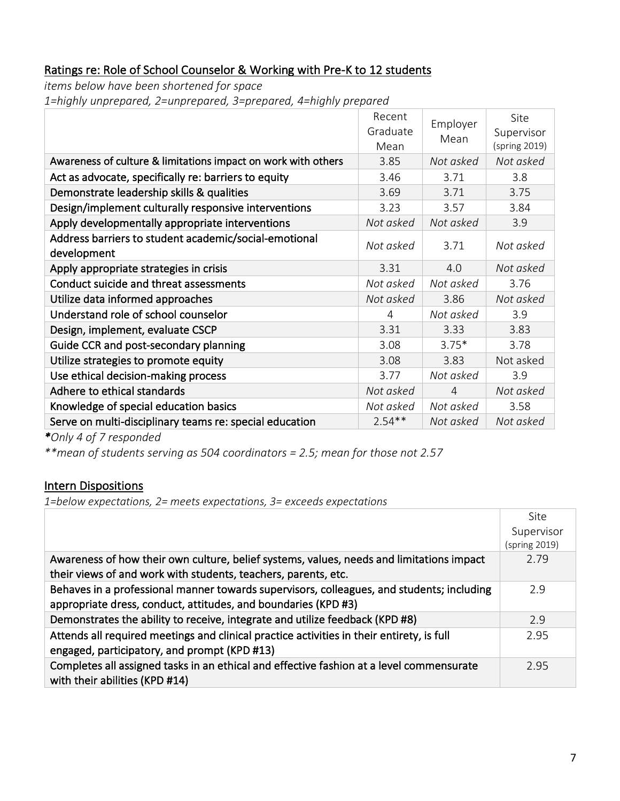# Ratings re: Role of School Counselor & Working with Pre-K to 12 students

*items below have been shortened for space*

*1=highly unprepared, 2=unprepared, 3=prepared, 4=highly prepared*

|                                                                      | Recent<br>Graduate<br>Mean | Employer<br>Mean | Site<br>Supervisor<br>(spring 2019) |
|----------------------------------------------------------------------|----------------------------|------------------|-------------------------------------|
| Awareness of culture & limitations impact on work with others        | 3.85                       | Not asked        | Not asked                           |
| Act as advocate, specifically re: barriers to equity                 | 3.46                       | 3.71             | 3.8                                 |
| Demonstrate leadership skills & qualities                            | 3.69                       | 3.71             | 3.75                                |
| Design/implement culturally responsive interventions                 | 3.23                       | 3.57             | 3.84                                |
| Apply developmentally appropriate interventions                      | Not asked                  | Not asked        | 3.9                                 |
| Address barriers to student academic/social-emotional<br>development | Not asked                  | 3.71             | Not asked                           |
| Apply appropriate strategies in crisis                               | 3.31                       | 4.0              | Not asked                           |
| Conduct suicide and threat assessments                               | Not asked                  | Not asked        | 3.76                                |
| Utilize data informed approaches                                     | Not asked                  | 3.86             | Not asked                           |
| Understand role of school counselor                                  | 4                          | Not asked        | 3.9                                 |
| Design, implement, evaluate CSCP                                     | 3.31                       | 3.33             | 3.83                                |
| Guide CCR and post-secondary planning                                | 3.08                       | $3.75*$          | 3.78                                |
| Utilize strategies to promote equity                                 | 3.08                       | 3.83             | Not asked                           |
| Use ethical decision-making process                                  | 3.77                       | Not asked        | 3.9                                 |
| Adhere to ethical standards                                          | Not asked                  | 4                | Not asked                           |
| Knowledge of special education basics                                | Not asked                  | Not asked        | 3.58                                |
| Serve on multi-disciplinary teams re: special education              | $2.54**$                   | Not asked        | Not asked                           |

*\*Only 4 of 7 responded*

*\*\*mean of students serving as 504 coordinators = 2.5; mean for those not 2.57*

# Intern Dispositions

*1=below expectations, 2= meets expectations, 3= exceeds expectations*

|                                                                                           | Site          |
|-------------------------------------------------------------------------------------------|---------------|
|                                                                                           | Supervisor    |
|                                                                                           | (spring 2019) |
| Awareness of how their own culture, belief systems, values, needs and limitations impact  | 2.79          |
| their views of and work with students, teachers, parents, etc.                            |               |
| Behaves in a professional manner towards supervisors, colleagues, and students; including | 2.9           |
| appropriate dress, conduct, attitudes, and boundaries (KPD #3)                            |               |
| Demonstrates the ability to receive, integrate and utilize feedback (KPD #8)              | 2.9           |
| Attends all required meetings and clinical practice activities in their entirety, is full | 2.95          |
| engaged, participatory, and prompt (KPD #13)                                              |               |
| Completes all assigned tasks in an ethical and effective fashion at a level commensurate  | 2.95          |
| with their abilities (KPD #14)                                                            |               |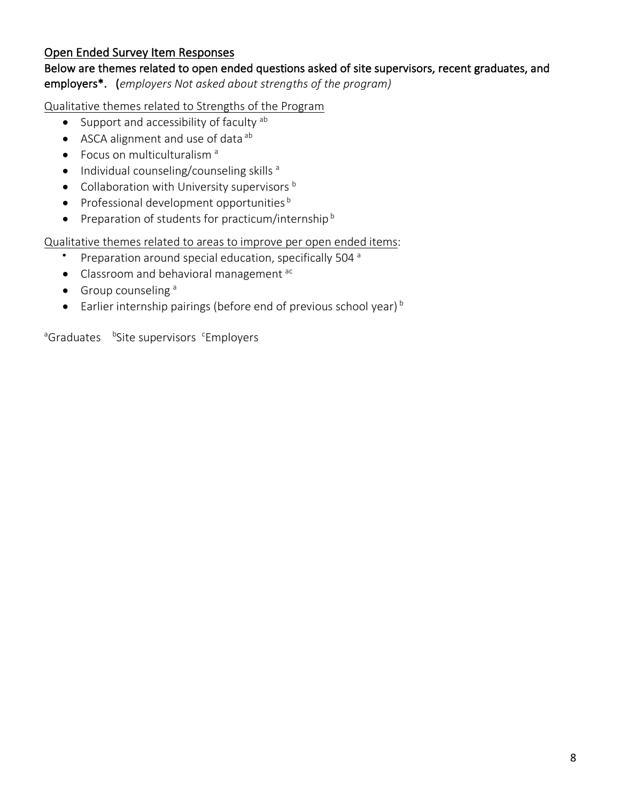#### Open Ended Survey Item Responses

#### Below are themes related to open ended questions asked of site supervisors, recent graduates, and employers\*. (*employers Not asked about strengths of the program)*

Qualitative themes related to Strengths of the Program

- Support and accessibility of faculty  $ab$
- ASCA alignment and use of data ab
- $\bullet$  Focus on multiculturalism<sup>a</sup>
- $\bullet$  Individual counseling/counseling skills  $a$
- Collaboration with University supervisors  $b$
- Professional development opportunities  $b$
- Preparation of students for practicum/internship  $b$

Qualitative themes related to areas to improve per open ended items:

- Preparation around special education, specifically 504<sup>a</sup>
- Classroom and behavioral management ac
- $\bullet$  Group counseling  $a$
- Earlier internship pairings (before end of previous school year)  $\frac{b}{b}$

<sup>a</sup>Graduates b<sup>b</sup>Site supervisors <sup>c</sup>Employers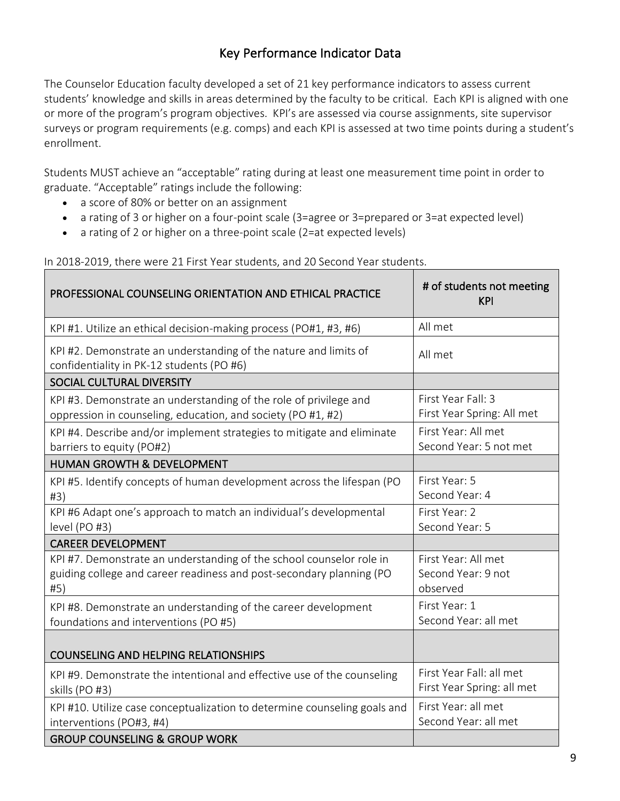# Key Performance Indicator Data

The Counselor Education faculty developed a set of 21 key performance indicators to assess current students' knowledge and skills in areas determined by the faculty to be critical. Each KPI is aligned with one or more of the program's program objectives. KPI's are assessed via course assignments, site supervisor surveys or program requirements (e.g. comps) and each KPI is assessed at two time points during a student's enrollment.

Students MUST achieve an "acceptable" rating during at least one measurement time point in order to graduate. "Acceptable" ratings include the following:

- a score of 80% or better on an assignment
- a rating of 3 or higher on a four-point scale (3=agree or 3=prepared or 3=at expected level)
- a rating of 2 or higher on a three-point scale (2=at expected levels)

In 2018-2019, there were 21 First Year students, and 20 Second Year students.

| PROFESSIONAL COUNSELING ORIENTATION AND ETHICAL PRACTICE                                                      | # of students not meeting<br><b>KPI</b> |
|---------------------------------------------------------------------------------------------------------------|-----------------------------------------|
| KPI #1. Utilize an ethical decision-making process (PO#1, #3, #6)                                             | All met                                 |
| KPI #2. Demonstrate an understanding of the nature and limits of<br>confidentiality in PK-12 students (PO #6) | All met                                 |
| SOCIAL CULTURAL DIVERSITY                                                                                     |                                         |
| KPI #3. Demonstrate an understanding of the role of privilege and                                             | First Year Fall: 3                      |
| oppression in counseling, education, and society (PO #1, #2)                                                  | First Year Spring: All met              |
| KPI #4. Describe and/or implement strategies to mitigate and eliminate                                        | First Year: All met                     |
| barriers to equity (PO#2)                                                                                     | Second Year: 5 not met                  |
| <b>HUMAN GROWTH &amp; DEVELOPMENT</b>                                                                         |                                         |
| KPI #5. Identify concepts of human development across the lifespan (PO                                        | First Year: 5                           |
| #3)                                                                                                           | Second Year: 4                          |
| KPI #6 Adapt one's approach to match an individual's developmental                                            | First Year: 2                           |
| level (PO #3)                                                                                                 | Second Year: 5                          |
| <b>CAREER DEVELOPMENT</b>                                                                                     |                                         |
| KPI #7. Demonstrate an understanding of the school counselor role in                                          | First Year: All met                     |
| guiding college and career readiness and post-secondary planning (PO                                          | Second Year: 9 not                      |
| #5)                                                                                                           | observed                                |
| KPI #8. Demonstrate an understanding of the career development                                                | First Year: 1                           |
| foundations and interventions (PO #5)                                                                         | Second Year: all met                    |
| <b>COUNSELING AND HELPING RELATIONSHIPS</b>                                                                   |                                         |
| KPI #9. Demonstrate the intentional and effective use of the counseling                                       | First Year Fall: all met                |
| skills (PO #3)                                                                                                | First Year Spring: all met              |
| KPI #10. Utilize case conceptualization to determine counseling goals and                                     | First Year: all met                     |
| interventions (PO#3, #4)                                                                                      | Second Year: all met                    |
| <b>GROUP COUNSELING &amp; GROUP WORK</b>                                                                      |                                         |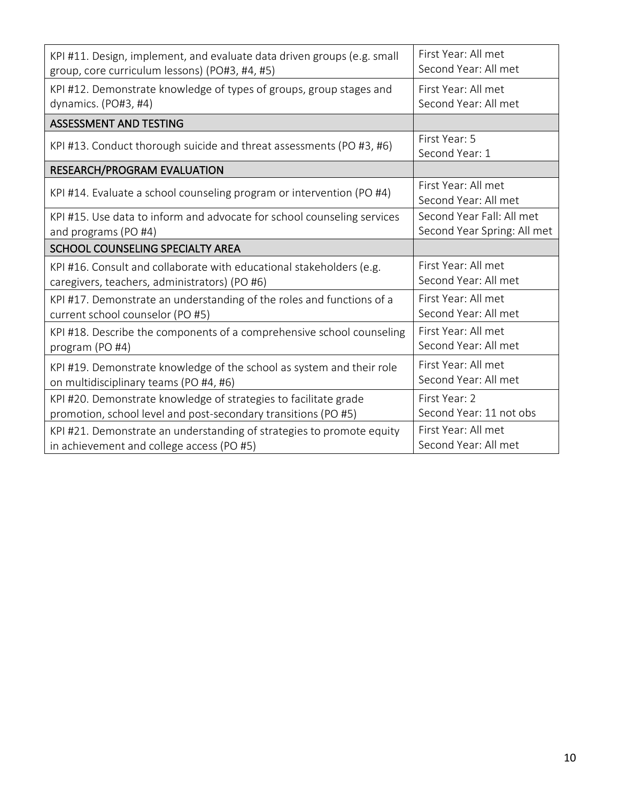| KPI #11. Design, implement, and evaluate data driven groups (e.g. small | First Year: All met                         |
|-------------------------------------------------------------------------|---------------------------------------------|
| group, core curriculum lessons) (PO#3, #4, #5)                          | Second Year: All met                        |
| KPI #12. Demonstrate knowledge of types of groups, group stages and     | First Year: All met                         |
| dynamics. (PO#3, #4)                                                    | Second Year: All met                        |
| <b>ASSESSMENT AND TESTING</b>                                           |                                             |
| KPI #13. Conduct thorough suicide and threat assessments (PO #3, #6)    | First Year: 5<br>Second Year: 1             |
| RESEARCH/PROGRAM EVALUATION                                             |                                             |
| KPI #14. Evaluate a school counseling program or intervention (PO #4)   | First Year: All met<br>Second Year: All met |
| KPI #15. Use data to inform and advocate for school counseling services | Second Year Fall: All met                   |
| and programs (PO #4)                                                    | Second Year Spring: All met                 |
| SCHOOL COUNSELING SPECIALTY AREA                                        |                                             |
| KPI #16. Consult and collaborate with educational stakeholders (e.g.    | First Year: All met                         |
| caregivers, teachers, administrators) (PO #6)                           | Second Year: All met                        |
| KPI #17. Demonstrate an understanding of the roles and functions of a   | First Year: All met                         |
| current school counselor (PO #5)                                        | Second Year: All met                        |
| KPI #18. Describe the components of a comprehensive school counseling   | First Year: All met                         |
| program (PO #4)                                                         | Second Year: All met                        |
| KPI #19. Demonstrate knowledge of the school as system and their role   | First Year: All met                         |
| on multidisciplinary teams (PO #4, #6)                                  | Second Year: All met                        |
| KPI #20. Demonstrate knowledge of strategies to facilitate grade        | First Year: 2                               |
| promotion, school level and post-secondary transitions (PO #5)          | Second Year: 11 not obs                     |
| KPI #21. Demonstrate an understanding of strategies to promote equity   | First Year: All met                         |
| in achievement and college access (PO #5)                               | Second Year: All met                        |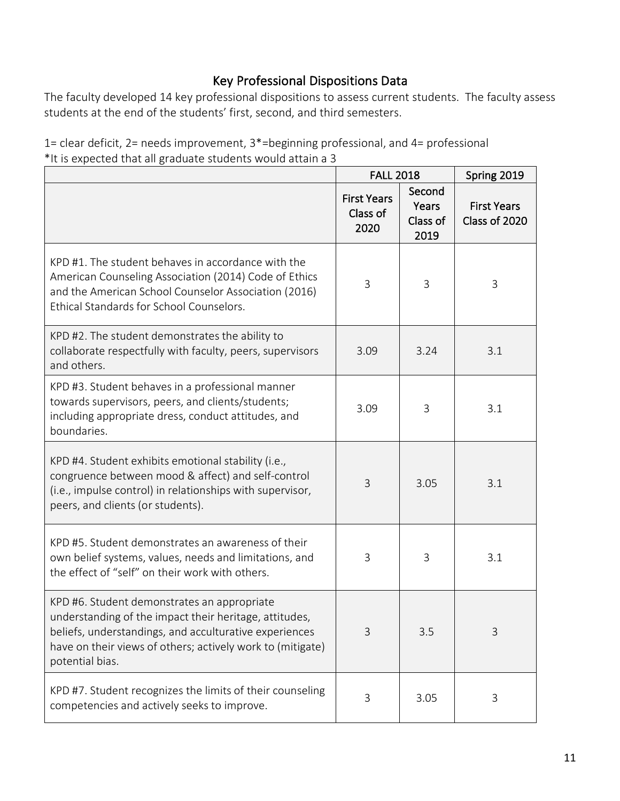# Key Professional Dispositions Data

The faculty developed 14 key professional dispositions to assess current students. The faculty assess students at the end of the students' first, second, and third semesters.

1= clear deficit, 2= needs improvement, 3\*=beginning professional, and 4= professional \*It is expected that all graduate students would attain a 3

|                                                                                                                                                                                                                                                  | <b>FALL 2018</b>                       |                                     | Spring 2019                         |
|--------------------------------------------------------------------------------------------------------------------------------------------------------------------------------------------------------------------------------------------------|----------------------------------------|-------------------------------------|-------------------------------------|
|                                                                                                                                                                                                                                                  | <b>First Years</b><br>Class of<br>2020 | Second<br>Years<br>Class of<br>2019 | <b>First Years</b><br>Class of 2020 |
| KPD #1. The student behaves in accordance with the<br>American Counseling Association (2014) Code of Ethics<br>and the American School Counselor Association (2016)<br>Ethical Standards for School Counselors.                                  | 3                                      | 3                                   | 3                                   |
| KPD #2. The student demonstrates the ability to<br>collaborate respectfully with faculty, peers, supervisors<br>and others.                                                                                                                      | 3.09                                   | 3.24                                | 3.1                                 |
| KPD #3. Student behaves in a professional manner<br>towards supervisors, peers, and clients/students;<br>including appropriate dress, conduct attitudes, and<br>boundaries.                                                                      | 3.09                                   | 3                                   | 3.1                                 |
| KPD #4. Student exhibits emotional stability (i.e.,<br>congruence between mood & affect) and self-control<br>(i.e., impulse control) in relationships with supervisor,<br>peers, and clients (or students).                                      | 3                                      | 3.05                                | 3.1                                 |
| KPD #5. Student demonstrates an awareness of their<br>own belief systems, values, needs and limitations, and<br>the effect of "self" on their work with others.                                                                                  | 3                                      | 3                                   | 3.1                                 |
| KPD #6. Student demonstrates an appropriate<br>understanding of the impact their heritage, attitudes,<br>beliefs, understandings, and acculturative experiences<br>have on their views of others; actively work to (mitigate)<br>potential bias. | 3                                      | 3.5                                 | 3                                   |
| KPD #7. Student recognizes the limits of their counseling<br>competencies and actively seeks to improve.                                                                                                                                         | 3                                      | 3.05                                | $\mathsf 3$                         |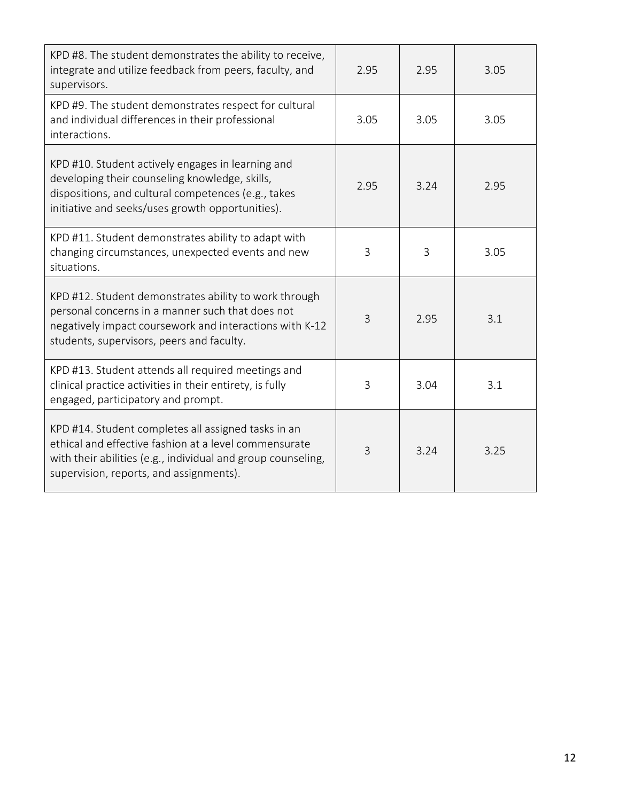| KPD #8. The student demonstrates the ability to receive,<br>integrate and utilize feedback from peers, faculty, and                                                                                                     | 2.95           | 2.95 | 3.05 |
|-------------------------------------------------------------------------------------------------------------------------------------------------------------------------------------------------------------------------|----------------|------|------|
| supervisors.<br>KPD #9. The student demonstrates respect for cultural<br>and individual differences in their professional<br>interactions.                                                                              | 3.05           | 3.05 | 3.05 |
| KPD #10. Student actively engages in learning and<br>developing their counseling knowledge, skills,<br>dispositions, and cultural competences (e.g., takes<br>initiative and seeks/uses growth opportunities).          | 2.95           | 3.24 | 2.95 |
| KPD #11. Student demonstrates ability to adapt with<br>changing circumstances, unexpected events and new<br>situations.                                                                                                 | 3              | 3    | 3.05 |
| KPD #12. Student demonstrates ability to work through<br>personal concerns in a manner such that does not<br>negatively impact coursework and interactions with K-12<br>students, supervisors, peers and faculty.       | $\overline{3}$ | 2.95 | 3.1  |
| KPD #13. Student attends all required meetings and<br>clinical practice activities in their entirety, is fully<br>engaged, participatory and prompt.                                                                    | 3              | 3.04 | 3.1  |
| KPD #14. Student completes all assigned tasks in an<br>ethical and effective fashion at a level commensurate<br>with their abilities (e.g., individual and group counseling,<br>supervision, reports, and assignments). | 3              | 3.24 | 3.25 |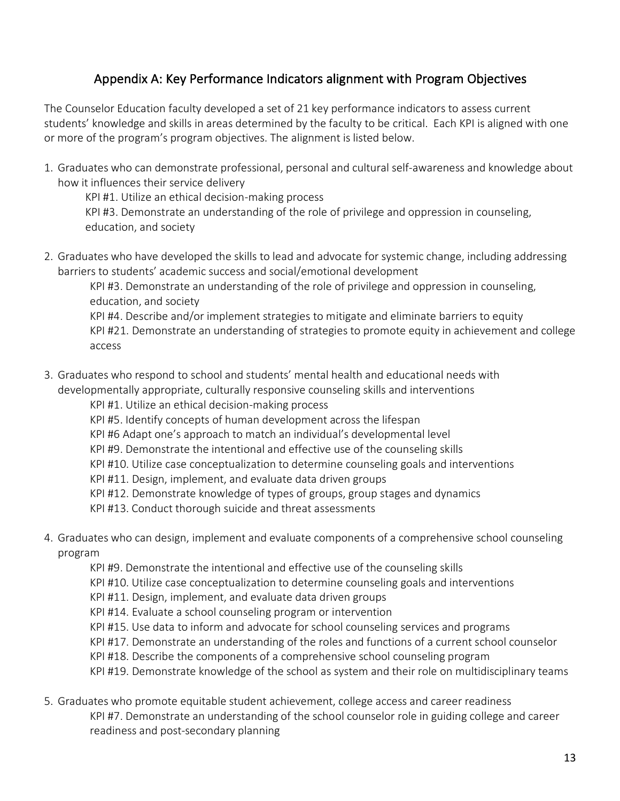# Appendix A: Key Performance Indicators alignment with Program Objectives

The Counselor Education faculty developed a set of 21 key performance indicators to assess current students' knowledge and skills in areas determined by the faculty to be critical. Each KPI is aligned with one or more of the program's program objectives. The alignment is listed below.

1. Graduates who can demonstrate professional, personal and cultural self-awareness and knowledge about how it influences their service delivery

KPI #1. Utilize an ethical decision-making process KPI #3. Demonstrate an understanding of the role of privilege and oppression in counseling, education, and society

2. Graduates who have developed the skills to lead and advocate for systemic change, including addressing barriers to students' academic success and social/emotional development

KPI #3. Demonstrate an understanding of the role of privilege and oppression in counseling, education, and society

KPI #4. Describe and/or implement strategies to mitigate and eliminate barriers to equity KPI #21. Demonstrate an understanding of strategies to promote equity in achievement and college access

3. Graduates who respond to school and students' mental health and educational needs with developmentally appropriate, culturally responsive counseling skills and interventions

KPI #1. Utilize an ethical decision-making process

- KPI #5. Identify concepts of human development across the lifespan
- KPI #6 Adapt one's approach to match an individual's developmental level
- KPI #9. Demonstrate the intentional and effective use of the counseling skills
- KPI #10. Utilize case conceptualization to determine counseling goals and interventions
- KPI #11. Design, implement, and evaluate data driven groups
- KPI #12. Demonstrate knowledge of types of groups, group stages and dynamics
- KPI #13. Conduct thorough suicide and threat assessments
- 4. Graduates who can design, implement and evaluate components of a comprehensive school counseling program
	- KPI #9. Demonstrate the intentional and effective use of the counseling skills
	- KPI #10. Utilize case conceptualization to determine counseling goals and interventions
	- KPI #11. Design, implement, and evaluate data driven groups
	- KPI #14. Evaluate a school counseling program or intervention
	- KPI #15. Use data to inform and advocate for school counseling services and programs
	- KPI #17. Demonstrate an understanding of the roles and functions of a current school counselor
	- KPI #18. Describe the components of a comprehensive school counseling program
	- KPI #19. Demonstrate knowledge of the school as system and their role on multidisciplinary teams
- 5. Graduates who promote equitable student achievement, college access and career readiness KPI #7. Demonstrate an understanding of the school counselor role in guiding college and career readiness and post-secondary planning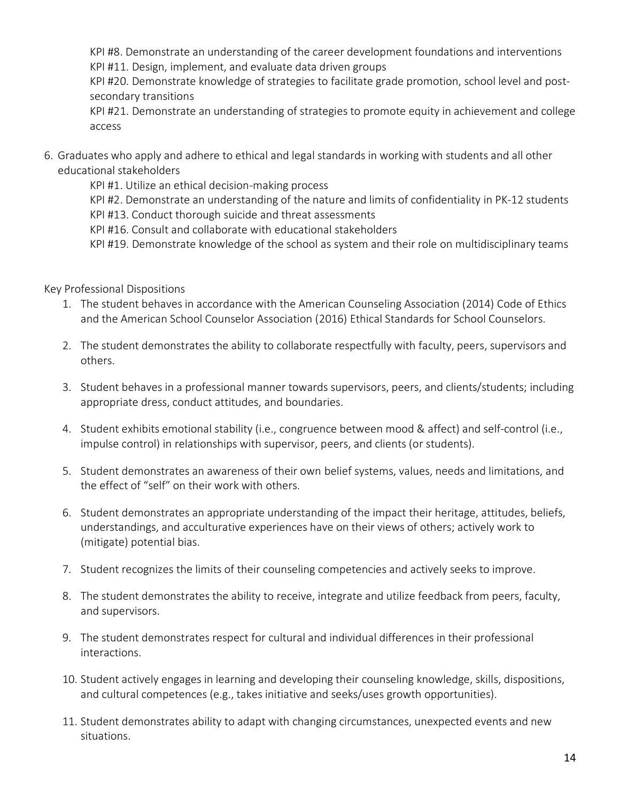KPI #8. Demonstrate an understanding of the career development foundations and interventions KPI #11. Design, implement, and evaluate data driven groups

KPI #20. Demonstrate knowledge of strategies to facilitate grade promotion, school level and postsecondary transitions

KPI #21. Demonstrate an understanding of strategies to promote equity in achievement and college access

6. Graduates who apply and adhere to ethical and legal standards in working with students and all other educational stakeholders

KPI #1. Utilize an ethical decision-making process KPI #2. Demonstrate an understanding of the nature and limits of confidentiality in PK-12 students KPI #13. Conduct thorough suicide and threat assessments KPI #16. Consult and collaborate with educational stakeholders

KPI #19. Demonstrate knowledge of the school as system and their role on multidisciplinary teams

Key Professional Dispositions

- 1. The student behaves in accordance with the American Counseling Association (2014) Code of Ethics and the American School Counselor Association (2016) Ethical Standards for School Counselors.
- 2. The student demonstrates the ability to collaborate respectfully with faculty, peers, supervisors and others.
- 3. Student behaves in a professional manner towards supervisors, peers, and clients/students; including appropriate dress, conduct attitudes, and boundaries.
- 4. Student exhibits emotional stability (i.e., congruence between mood & affect) and self-control (i.e., impulse control) in relationships with supervisor, peers, and clients (or students).
- 5. Student demonstrates an awareness of their own belief systems, values, needs and limitations, and the effect of "self" on their work with others.
- 6. Student demonstrates an appropriate understanding of the impact their heritage, attitudes, beliefs, understandings, and acculturative experiences have on their views of others; actively work to (mitigate) potential bias.
- 7. Student recognizes the limits of their counseling competencies and actively seeks to improve.
- 8. The student demonstrates the ability to receive, integrate and utilize feedback from peers, faculty, and supervisors.
- 9. The student demonstrates respect for cultural and individual differences in their professional interactions.
- 10. Student actively engages in learning and developing their counseling knowledge, skills, dispositions, and cultural competences (e.g., takes initiative and seeks/uses growth opportunities).
- 11. Student demonstrates ability to adapt with changing circumstances, unexpected events and new situations.